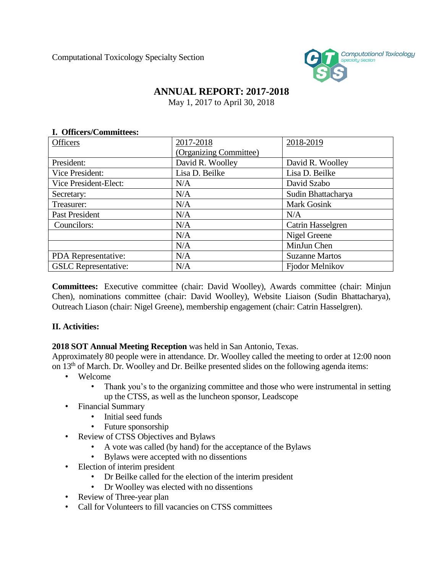Computational Toxicology Specialty Section



## **ANNUAL REPORT: 2017-2018**

May 1, 2017 to April 30, 2018

## **I. Officers/Committees:**

| <b>Officers</b>             | 2017-2018              | 2018-2019             |
|-----------------------------|------------------------|-----------------------|
|                             | (Organizing Committee) |                       |
| President:                  | David R. Woolley       | David R. Woolley      |
| Vice President:             | Lisa D. Beilke         | Lisa D. Beilke        |
| Vice President-Elect:       | N/A                    | David Szabo           |
| Secretary:                  | N/A                    | Sudin Bhattacharya    |
| Treasurer:                  | N/A                    | <b>Mark Gosink</b>    |
| Past President              | N/A                    | N/A                   |
| Councilors:                 | N/A                    | Catrin Hasselgren     |
|                             | N/A                    | Nigel Greene          |
|                             | N/A                    | MinJun Chen           |
| PDA Representative:         | N/A                    | <b>Suzanne Martos</b> |
| <b>GSLC</b> Representative: | N/A                    | Fjodor Melnikov       |

**Committees:** Executive committee (chair: David Woolley), Awards committee (chair: Minjun Chen), nominations committee (chair: David Woolley), Website Liaison (Sudin Bhattacharya), Outreach Liason (chair: Nigel Greene), membership engagement (chair: Catrin Hasselgren).

## **II. Activities:**

## **2018 SOT Annual Meeting Reception** was held in San Antonio, Texas.

Approximately 80 people were in attendance. Dr. Woolley called the meeting to order at 12:00 noon on 13<sup>th</sup> of March. Dr. Woolley and Dr. Beilke presented slides on the following agenda items:

- Welcome
	- Thank you's to the organizing committee and those who were instrumental in setting up the CTSS, as well as the luncheon sponsor, Leadscope
- Financial Summary
	- Initial seed funds
	- Future sponsorship
- Review of CTSS Objectives and Bylaws
	- A vote was called (by hand) for the acceptance of the Bylaws
	- Bylaws were accepted with no dissentions
- Election of interim president
	- Dr Beilke called for the election of the interim president
	- Dr Woolley was elected with no dissentions
- Review of Three-year plan
- Call for Volunteers to fill vacancies on CTSS committees